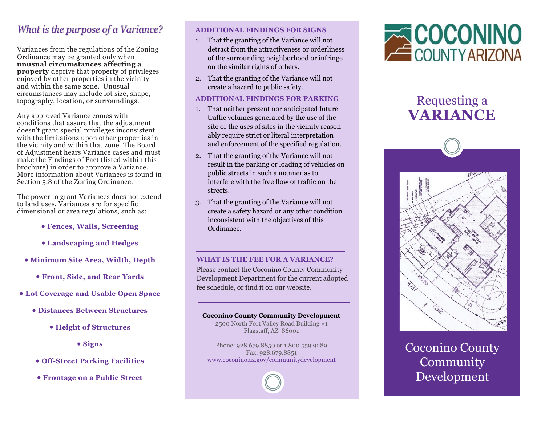## What is the purpose of a Variance?

Variances from the regulations of the Zoning Ordinance may be granted only when **unusual circumstances affecting a property** deprive that property of privileges enjoyed by other properties in the vicinity and within the same zone. Unusual circumstances may include lot size, shape, topography, location, or surroundings.

Any approved Variance comes with conditions that assure that the adjustment doesn't grant special privileges inconsistent with the limitations upon other properties in the vicinity and within that zone. The Board of Adjustment hears Variance cases and must make the Findings of Fact (listed within this brochure) in order to approve a Variance. More information about Variances is found in Section 5.8 of the Zoning Ordinance.

The power to grant Variances does not extend to land uses. Variances are for specific dimensional or area regulations, such as:

- **Fences, Walls, Screening**
- **Landscaping and Hedges**
- **Minimum Site Area, Width, Depth**
	- **Front, Side, and Rear Yards**
- **Lot Coverage and Usable Open Space**
	- **Distances Between Structures**
		- **Height of Structures**
			- **Signs**
	- **Off-Street Parking Facilities**
	- **Frontage on a Public Street**

#### **ADDITIONAL FINDINGS FOR SIGNS**

- 1. That the granting of the Variance will not detract from the attractiveness or orderliness of the surrounding neighborhood or infringe on the similar rights of others.
- 2. That the granting of the Variance will not create a hazard to public safety.

#### **ADDITIONAL FINDINGS FOR PARKING**

- 1. That neither present nor anticipated future traffic volumes generated by the use of the site or the uses of sites in the vicinity reasonably require strict or literal interpretation and enforcement of the specified regulation.
- 2. That the granting of the Variance will not result in the parking or loading of vehicles on public streets in such a manner as to interfere with the free flow of traffic on the streets.
- 3. That the granting of the Variance will not create a safety hazard or any other condition inconsistent with the objectives of this Ordinance.

#### **WHAT IS THE FEE FOR A VARIANCE?**

Please contact the Coconino County Community Development Department for the current adopted fee schedule, or find it on our website.

#### **Coconino County Community Development**

2500 North Fort Valley Road Building #1 Flagstaff, AZ 86001

Phone: 928.679.8850 or 1.800.559.9289 Fax: 928.679.8851 www.coconino.az.gov/communitydevelopment



## Requesting a **VARIANCE**



Coconino County **Community** Development